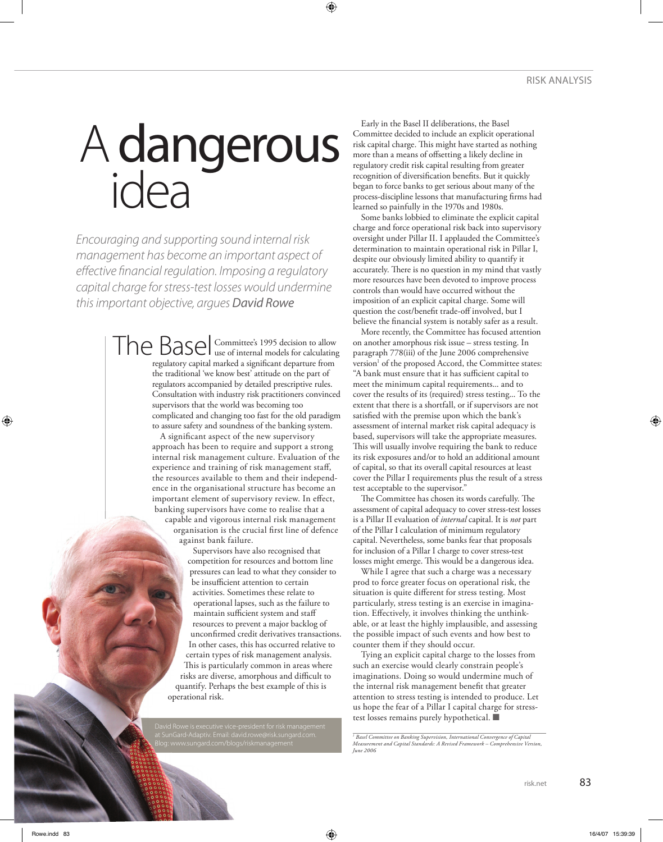## A dangerous idea

*Encouraging and supporting sound internal risk management has become an important aspect of effective financial regulation. Imposing a regulatory capital charge for stress-test losses would undermine this important objective, argues David Rowe* 

> Committee's 1995 decision to allow The Basel Committee's 1995 decision to allow regulatory capital marked a significant departure from the traditional 'we know best' attitude on the part of regulators accompanied by detailed prescriptive rules. Consultation with industry risk practitioners convinced supervisors that the world was becoming too complicated and changing too fast for the old paradigm to assure safety and soundness of the banking system.

> > A significant aspect of the new supervisory approach has been to require and support a strong internal risk management culture. Evaluation of the experience and training of risk management staff, the resources available to them and their independence in the organisational structure has become an important element of supervisory review. In effect, banking supervisors have come to realise that a

capable and vigorous internal risk management organisation is the crucial first line of defence against bank failure.

Supervisors have also recognised that competition for resources and bottom line pressures can lead to what they consider to be insufficient attention to certain activities. Sometimes these relate to operational lapses, such as the failure to maintain sufficient system and staff resources to prevent a major backlog of unconfirmed credit derivatives transactions. In other cases, this has occurred relative to certain types of risk management analysis. This is particularly common in areas where risks are diverse, amorphous and difficult to quantify. Perhaps the best example of this is operational risk.

Early in the Basel II deliberations, the Basel Committee decided to include an explicit operational risk capital charge. This might have started as nothing more than a means of offsetting a likely decline in regulatory credit risk capital resulting from greater recognition of diversification benefits. But it quickly began to force banks to get serious about many of the process-discipline lessons that manufacturing firms had learned so painfully in the 1970s and 1980s.

⊕

Some banks lobbied to eliminate the explicit capital charge and force operational risk back into supervisory oversight under Pillar II. I applauded the Committee's determination to maintain operational risk in Pillar I, despite our obviously limited ability to quantify it accurately. There is no question in my mind that vastly more resources have been devoted to improve process controls than would have occurred without the imposition of an explicit capital charge. Some will question the cost/benefit trade-off involved, but I believe the financial system is notably safer as a result.

More recently, the Committee has focused attention on another amorphous risk issue – stress testing. In paragraph 778(iii) of the June 2006 comprehensive version<sup>1</sup> of the proposed Accord, the Committee states: "A bank must ensure that it has sufficient capital to meet the minimum capital requirements... and to cover the results of its (required) stress testing... To the extent that there is a shortfall, or if supervisors are not satisfied with the premise upon which the bank's assessment of internal market risk capital adequacy is based, supervisors will take the appropriate measures. This will usually involve requiring the bank to reduce its risk exposures and/or to hold an additional amount of capital, so that its overall capital resources at least cover the Pillar I requirements plus the result of a stress test acceptable to the supervisor."

The Committee has chosen its words carefully. The assessment of capital adequacy to cover stress-test losses is a Pillar II evaluation of *internal* capital. It is *not* part of the Pillar I calculation of minimum regulatory capital. Nevertheless, some banks fear that proposals for inclusion of a Pillar I charge to cover stress-test losses might emerge. This would be a dangerous idea.

While I agree that such a charge was a necessary prod to force greater focus on operational risk, the situation is quite different for stress testing. Most particularly, stress testing is an exercise in imagination. Effectively, it involves thinking the unthinkable, or at least the highly implausible, and assessing the possible impact of such events and how best to counter them if they should occur.

Tying an explicit capital charge to the losses from such an exercise would clearly constrain people's imaginations. Doing so would undermine much of the internal risk management benefit that greater attention to stress testing is intended to produce. Let us hope the fear of a Pillar I capital charge for stresstest losses remains purely hypothetical. ■

⊕

◈

*<sup>1</sup> Basel Committee on Banking Supervision, International Convergence of Capital Measurement and Capital Standards: A Revised Framework – Comprehensive Version, June 2006*